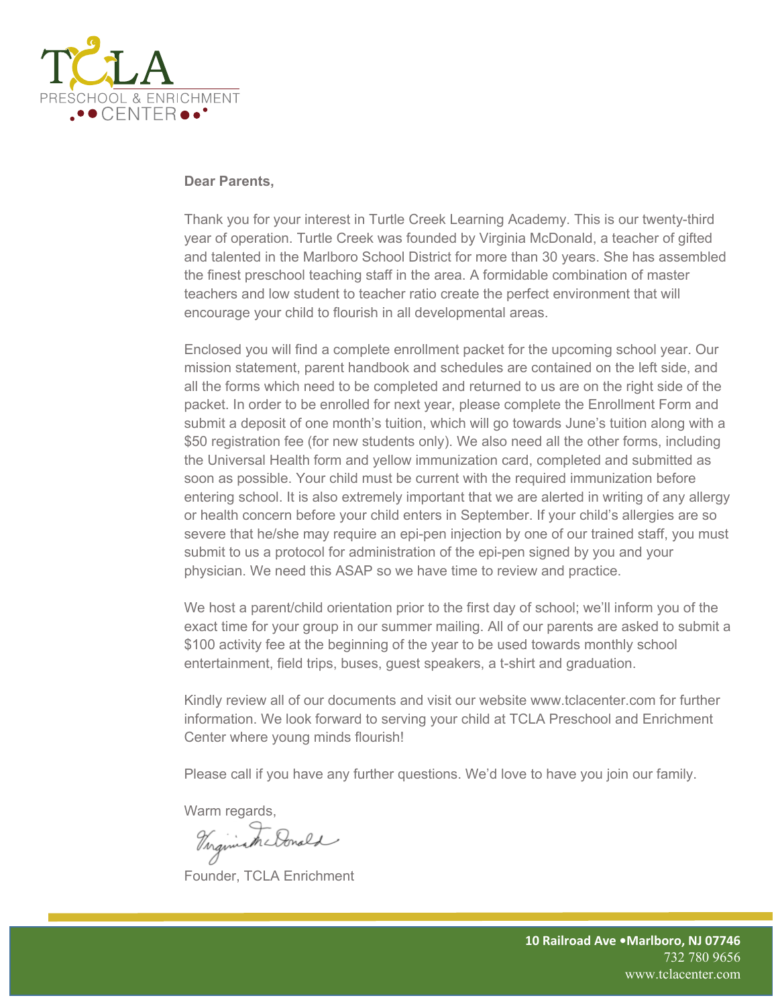

#### **Dear Parents,**

Thank you for your interest in Turtle Creek Learning Academy. This is our twenty-third year of operation. Turtle Creek was founded by Virginia McDonald, a teacher of gifted and talented in the Marlboro School District for more than 30 years. She has assembled the finest preschool teaching staff in the area. A formidable combination of master teachers and low student to teacher ratio create the perfect environment that will encourage your child to flourish in all developmental areas.

Enclosed you will find a complete enrollment packet for the upcoming school year. Our mission statement, parent handbook and schedules are contained on the left side, and all the forms which need to be completed and returned to us are on the right side of the packet. In order to be enrolled for next year, please complete the Enrollment Form and submit a deposit of one month's tuition, which will go towards June's tuition along with a \$50 registration fee (for new students only). We also need all the other forms, including the Universal Health form and yellow immunization card, completed and submitted as soon as possible. Your child must be current with the required immunization before entering school. It is also extremely important that we are alerted in writing of any allergy or health concern before your child enters in September. If your child's allergies are so severe that he/she may require an epi-pen injection by one of our trained staff, you must submit to us a protocol for administration of the epi-pen signed by you and your physician. We need this ASAP so we have time to review and practice.

We host a parent/child orientation prior to the first day of school; we'll inform you of the exact time for your group in our summer mailing. All of our parents are asked to submit a \$100 activity fee at the beginning of the year to be used towards monthly school entertainment, field trips, buses, guest speakers, a t-shirt and graduation.

Kindly review all of our documents and visit our website www.tclacenter.com for further information. We look forward to serving your child at TCLA Preschool and Enrichment Center where young minds flourish!

Please call if you have any further questions. We'd love to have you join our family.

Warm regards,

Virginian Donald

Founder, TCLA Enrichment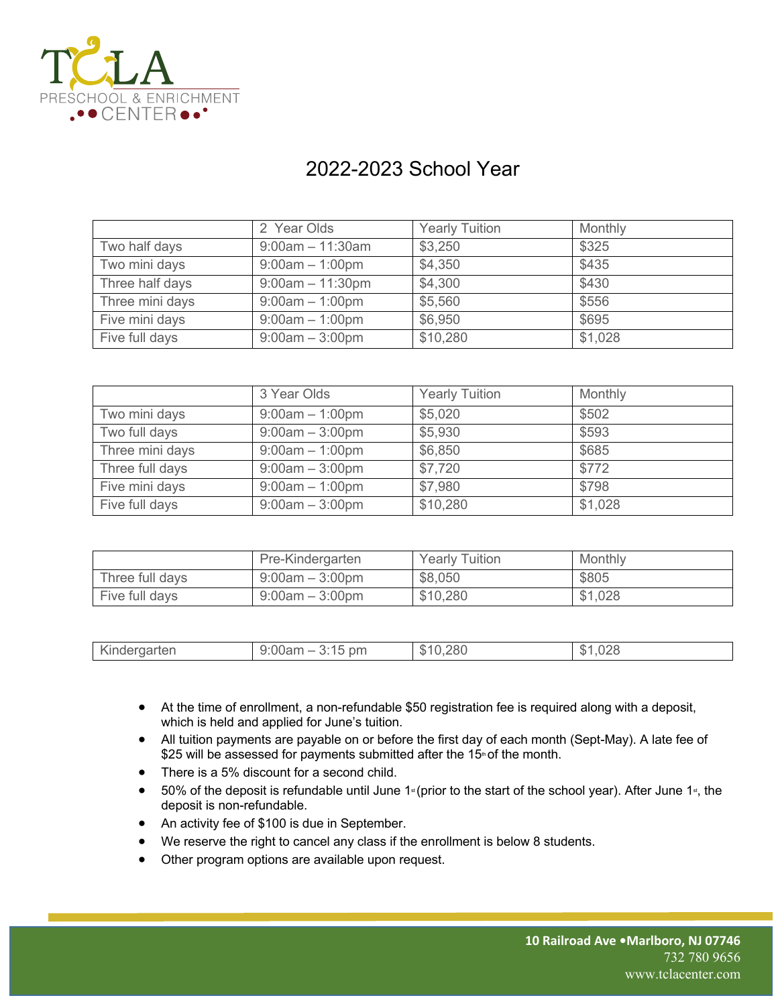

# 2022-2023 School Year

|                 | 2 Year Olds        | <b>Yearly Tuition</b> | Monthly |
|-----------------|--------------------|-----------------------|---------|
| Two half days   | $9:00am - 11:30am$ | \$3,250               | \$325   |
| Two mini days   | $9:00am - 1:00pm$  | \$4,350               | \$435   |
| Three half days | $9:00am - 11:30pm$ | \$4,300               | \$430   |
| Three mini days | $9:00am - 1:00pm$  | \$5,560               | \$556   |
| Five mini days  | $9:00am - 1:00pm$  | \$6,950               | \$695   |
| Five full days  | $9:00am - 3:00pm$  | \$10,280              | \$1,028 |

|                 | 3 Year Olds       | <b>Yearly Tuition</b> | Monthly |
|-----------------|-------------------|-----------------------|---------|
| Two mini days   | $9:00am - 1:00pm$ | \$5,020               | \$502   |
| Two full days   | $9:00am - 3:00pm$ | \$5,930               | \$593   |
| Three mini days | $9:00am - 1:00pm$ | \$6,850               | \$685   |
| Three full days | $9:00am - 3:00pm$ | \$7,720               | \$772   |
| Five mini days  | $9:00am - 1:00pm$ | \$7,980               | \$798   |
| Five full days  | $9:00am - 3:00pm$ | \$10,280              | \$1,028 |

|                 | Pre-Kindergarten  | <b>Yearly Tuition</b> | Monthly |
|-----------------|-------------------|-----------------------|---------|
| Three full days | $9:00am - 3:00pm$ | \$8,050               | \$805   |
| Five full days  | $9:00am - 3:00pm$ | \$10,280              | \$1,028 |

| Kindergarten<br>\$10,280<br>9:00am<br>pm<br>…∪∠o<br>D |
|-------------------------------------------------------|
|-------------------------------------------------------|

- At the time of enrollment, a non-refundable \$50 registration fee is required along with a deposit, which is held and applied for June's tuition.
- All tuition payments are payable on or before the first day of each month (Sept-May). A late fee of \$25 will be assessed for payments submitted after the 15<sup>th</sup> of the month.
- There is a 5% discount for a second child.
- 50% of the deposit is refundable until June 1<sup>st</sup> (prior to the start of the school year). After June 1<sup>st</sup>, the deposit is non-refundable.
- An activity fee of \$100 is due in September.
- We reserve the right to cancel any class if the enrollment is below 8 students.
- Other program options are available upon request.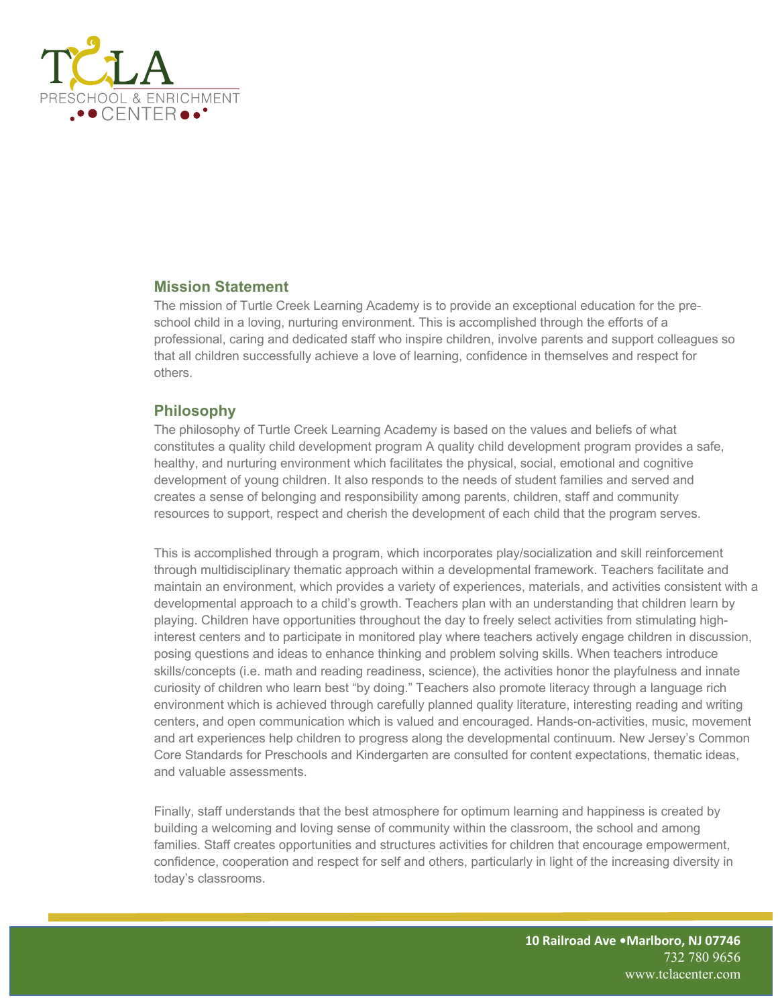

# **Mission Statement**

The mission of Turtle Creek Learning Academy is to provide an exceptional education for the preschool child in a loving, nurturing environment. This is accomplished through the efforts of a professional, caring and dedicated staff who inspire children, involve parents and support colleagues so that all children successfully achieve a love of learning, confidence in themselves and respect for others.

# **Philosophy**

The philosophy of Turtle Creek Learning Academy is based on the values and beliefs of what constitutes a quality child development program A quality child development program provides a safe, healthy, and nurturing environment which facilitates the physical, social, emotional and cognitive development of young children. It also responds to the needs of student families and served and creates a sense of belonging and responsibility among parents, children, staff and community resources to support, respect and cherish the development of each child that the program serves.

This is accomplished through a program, which incorporates play/socialization and skill reinforcement through multidisciplinary thematic approach within a developmental framework. Teachers facilitate and maintain an environment, which provides a variety of experiences, materials, and activities consistent with a developmental approach to a child's growth. Teachers plan with an understanding that children learn by playing. Children have opportunities throughout the day to freely select activities from stimulating highinterest centers and to participate in monitored play where teachers actively engage children in discussion, posing questions and ideas to enhance thinking and problem solving skills. When teachers introduce skills/concepts (i.e. math and reading readiness, science), the activities honor the playfulness and innate curiosity of children who learn best "by doing." Teachers also promote literacy through a language rich environment which is achieved through carefully planned quality literature, interesting reading and writing centers, and open communication which is valued and encouraged. Hands-on-activities, music, movement and art experiences help children to progress along the developmental continuum. New Jersey's Common Core Standards for Preschools and Kindergarten are consulted for content expectations, thematic ideas, and valuable assessments.

Finally, staff understands that the best atmosphere for optimum learning and happiness is created by building a welcoming and loving sense of community within the classroom, the school and among families. Staff creates opportunities and structures activities for children that encourage empowerment, confidence, cooperation and respect for self and others, particularly in light of the increasing diversity in today's classrooms.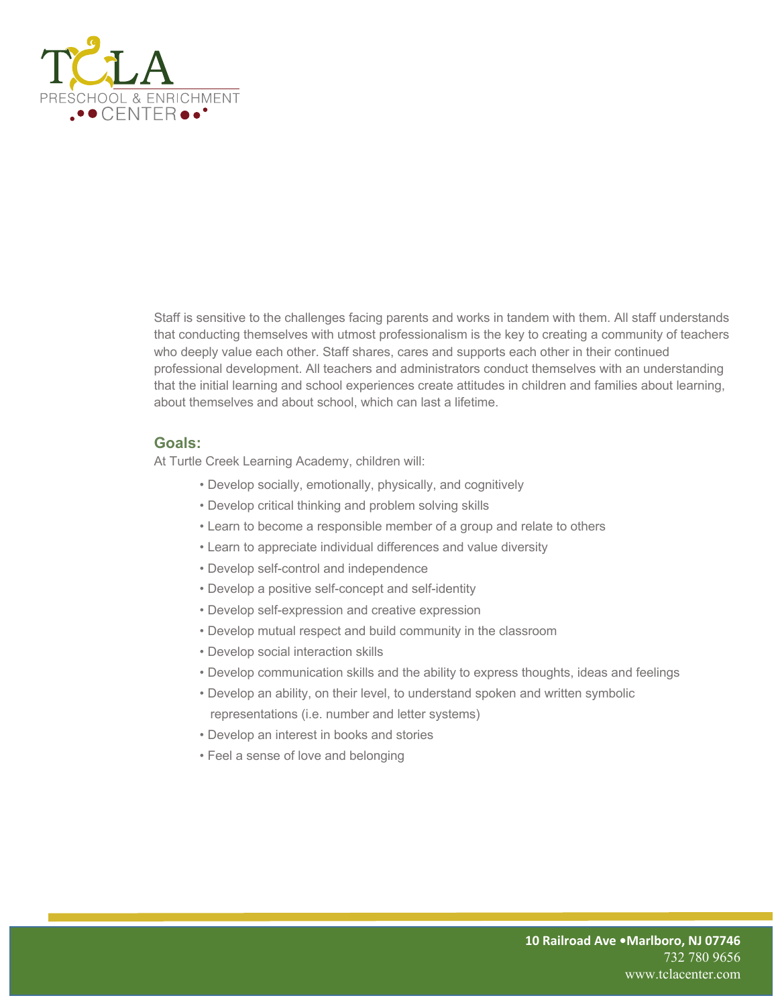

Staff is sensitive to the challenges facing parents and works in tandem with them. All staff understands that conducting themselves with utmost professionalism is the key to creating a community of teachers who deeply value each other. Staff shares, cares and supports each other in their continued professional development. All teachers and administrators conduct themselves with an understanding that the initial learning and school experiences create attitudes in children and families about learning, about themselves and about school, which can last a lifetime.

#### **Goals:**

At Turtle Creek Learning Academy, children will:

- Develop socially, emotionally, physically, and cognitively
- Develop critical thinking and problem solving skills
- Learn to become a responsible member of a group and relate to others
- Learn to appreciate individual differences and value diversity
- Develop self-control and independence
- Develop a positive self-concept and self-identity
- Develop self-expression and creative expression
- Develop mutual respect and build community in the classroom
- Develop social interaction skills
- Develop communication skills and the ability to express thoughts, ideas and feelings
- Develop an ability, on their level, to understand spoken and written symbolic representations (i.e. number and letter systems)
- Develop an interest in books and stories
- Feel a sense of love and belonging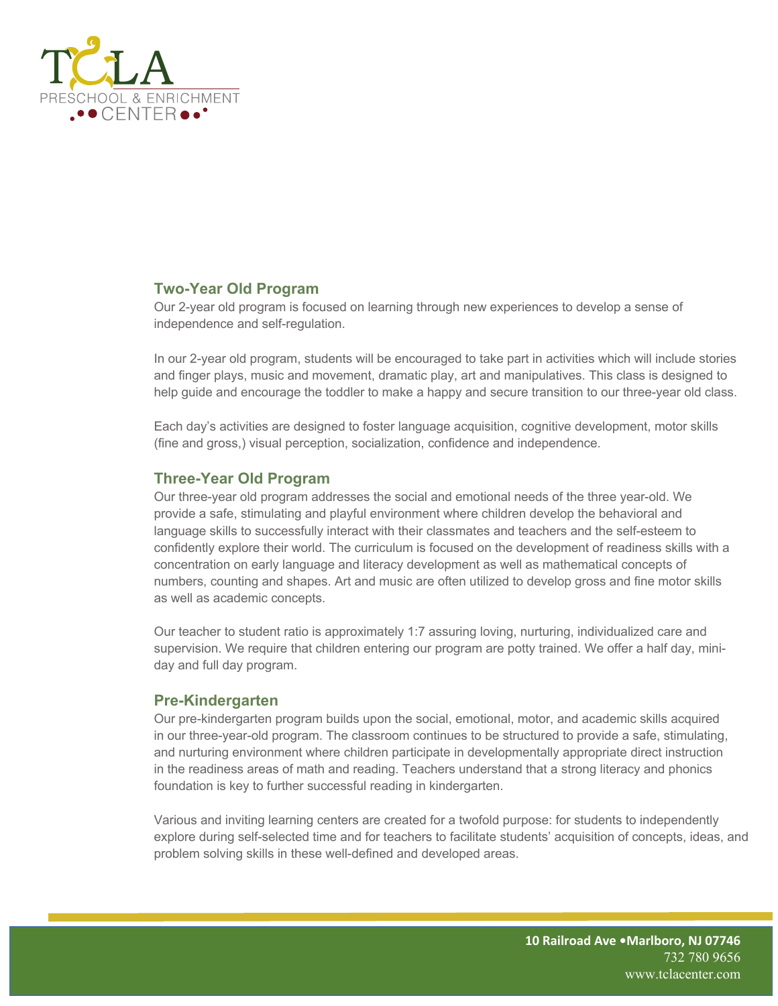

# **Two-Year Old Program**

Our 2-year old program is focused on learning through new experiences to develop a sense of independence and self-regulation.

In our 2-year old program, students will be encouraged to take part in activities which will include stories and finger plays, music and movement, dramatic play, art and manipulatives. This class is designed to help guide and encourage the toddler to make a happy and secure transition to our three-year old class.

Each day's activities are designed to foster language acquisition, cognitive development, motor skills (fine and gross,) visual perception, socialization, confidence and independence.

## **Three-Year Old Program**

Our three-year old program addresses the social and emotional needs of the three year-old. We provide a safe, stimulating and playful environment where children develop the behavioral and language skills to successfully interact with their classmates and teachers and the self-esteem to confidently explore their world. The curriculum is focused on the development of readiness skills with a concentration on early language and literacy development as well as mathematical concepts of numbers, counting and shapes. Art and music are often utilized to develop gross and fine motor skills as well as academic concepts.

Our teacher to student ratio is approximately 1:7 assuring loving, nurturing, individualized care and supervision. We require that children entering our program are potty trained. We offer a half day, miniday and full day program.

#### **Pre-Kindergarten**

Our pre-kindergarten program builds upon the social, emotional, motor, and academic skills acquired in our three-year-old program. The classroom continues to be structured to provide a safe, stimulating, and nurturing environment where children participate in developmentally appropriate direct instruction in the readiness areas of math and reading. Teachers understand that a strong literacy and phonics foundation is key to further successful reading in kindergarten.

Various and inviting learning centers are created for a twofold purpose: for students to independently explore during self-selected time and for teachers to facilitate students' acquisition of concepts, ideas, and problem solving skills in these well-defined and developed areas.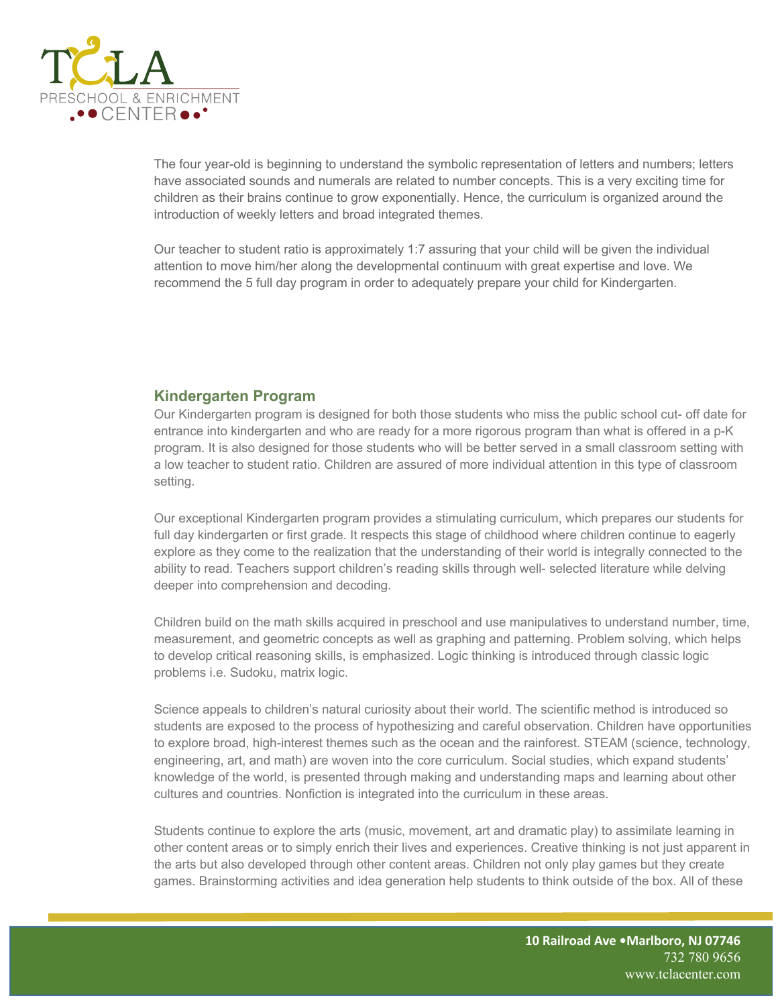

The four year-old is beginning to understand the symbolic representation of letters and numbers; letters have associated sounds and numerals are related to number concepts. This is a very exciting time for children as their brains continue to grow exponentially. Hence, the curriculum is organized around the introduction of weekly letters and broad integrated themes.

Our teacher to student ratio is approximately 1:7 assuring that your child will be given the individual attention to move him/her along the developmental continuum with great expertise and love. We recommend the 5 full day program in order to adequately prepare your child for Kindergarten.

# **Kindergarten Program**

Our Kindergarten program is designed for both those students who miss the public school cut- off date for entrance into kindergarten and who are ready for a more rigorous program than what is offered in a p-K program. It is also designed for those students who will be better served in a small classroom setting with a low teacher to student ratio. Children are assured of more individual attention in this type of classroom setting.

Our exceptional Kindergarten program provides a stimulating curriculum, which prepares our students for full day kindergarten or first grade. It respects this stage of childhood where children continue to eagerly explore as they come to the realization that the understanding of their world is integrally connected to the ability to read. Teachers support children's reading skills through well- selected literature while delving deeper into comprehension and decoding.

Children build on the math skills acquired in preschool and use manipulatives to understand number, time, measurement, and geometric concepts as well as graphing and patterning. Problem solving, which helps to develop critical reasoning skills, is emphasized. Logic thinking is introduced through classic logic problems i.e. Sudoku, matrix logic.

Science appeals to children's natural curiosity about their world. The scientific method is introduced so students are exposed to the process of hypothesizing and careful observation. Children have opportunities to explore broad, high-interest themes such as the ocean and the rainforest. STEAM (science, technology, engineering, art, and math) are woven into the core curriculum. Social studies, which expand students' knowledge of the world, is presented through making and understanding maps and learning about other cultures and countries. Nonfiction is integrated into the curriculum in these areas.

Students continue to explore the arts (music, movement, art and dramatic play) to assimilate learning in other content areas or to simply enrich their lives and experiences. Creative thinking is not just apparent in the arts but also developed through other content areas. Children not only play games but they create games. Brainstorming activities and idea generation help students to think outside of the box. All of these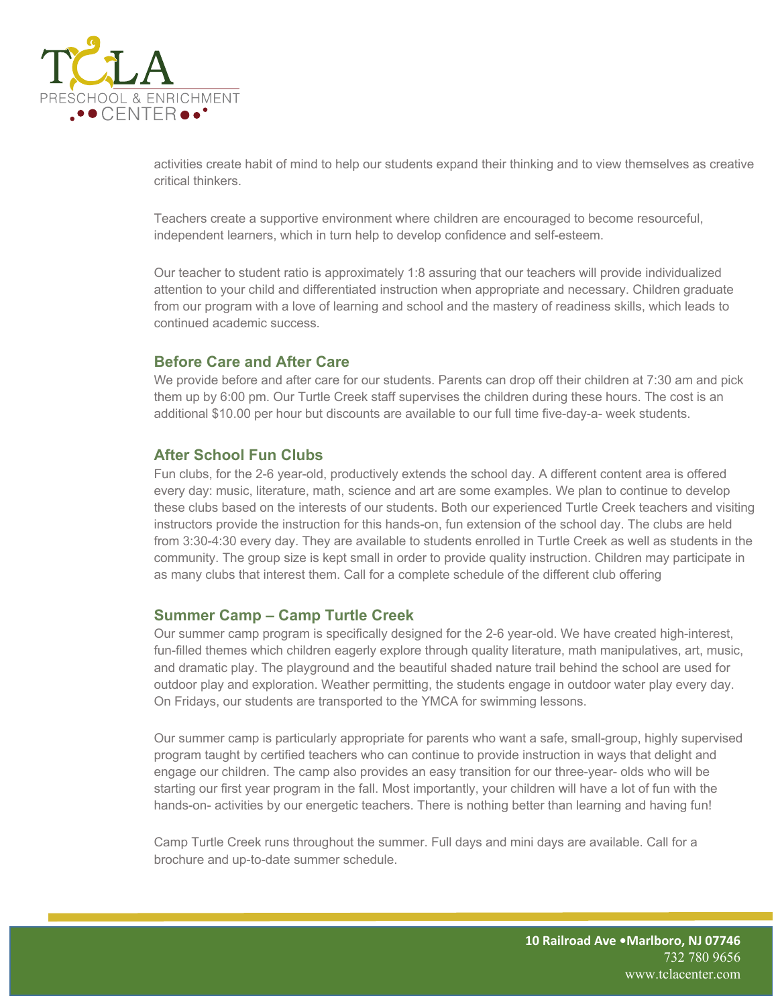

activities create habit of mind to help our students expand their thinking and to view themselves as creative critical thinkers.

Teachers create a supportive environment where children are encouraged to become resourceful, independent learners, which in turn help to develop confidence and self-esteem.

Our teacher to student ratio is approximately 1:8 assuring that our teachers will provide individualized attention to your child and differentiated instruction when appropriate and necessary. Children graduate from our program with a love of learning and school and the mastery of readiness skills, which leads to continued academic success.

## **Before Care and After Care**

We provide before and after care for our students. Parents can drop off their children at 7:30 am and pick them up by 6:00 pm. Our Turtle Creek staff supervises the children during these hours. The cost is an additional \$10.00 per hour but discounts are available to our full time five-day-a- week students.

#### **After School Fun Clubs**

Fun clubs, for the 2-6 year-old, productively extends the school day. A different content area is offered every day: music, literature, math, science and art are some examples. We plan to continue to develop these clubs based on the interests of our students. Both our experienced Turtle Creek teachers and visiting instructors provide the instruction for this hands-on, fun extension of the school day. The clubs are held from 3:30-4:30 every day. They are available to students enrolled in Turtle Creek as well as students in the community. The group size is kept small in order to provide quality instruction. Children may participate in as many clubs that interest them. Call for a complete schedule of the different club offering

#### **Summer Camp – Camp Turtle Creek**

Our summer camp program is specifically designed for the 2-6 year-old. We have created high-interest, fun-filled themes which children eagerly explore through quality literature, math manipulatives, art, music, and dramatic play. The playground and the beautiful shaded nature trail behind the school are used for outdoor play and exploration. Weather permitting, the students engage in outdoor water play every day. On Fridays, our students are transported to the YMCA for swimming lessons.

Our summer camp is particularly appropriate for parents who want a safe, small-group, highly supervised program taught by certified teachers who can continue to provide instruction in ways that delight and engage our children. The camp also provides an easy transition for our three-year- olds who will be starting our first year program in the fall. Most importantly, your children will have a lot of fun with the hands-on- activities by our energetic teachers. There is nothing better than learning and having fun!

Camp Turtle Creek runs throughout the summer. Full days and mini days are available. Call for a brochure and up-to-date summer schedule.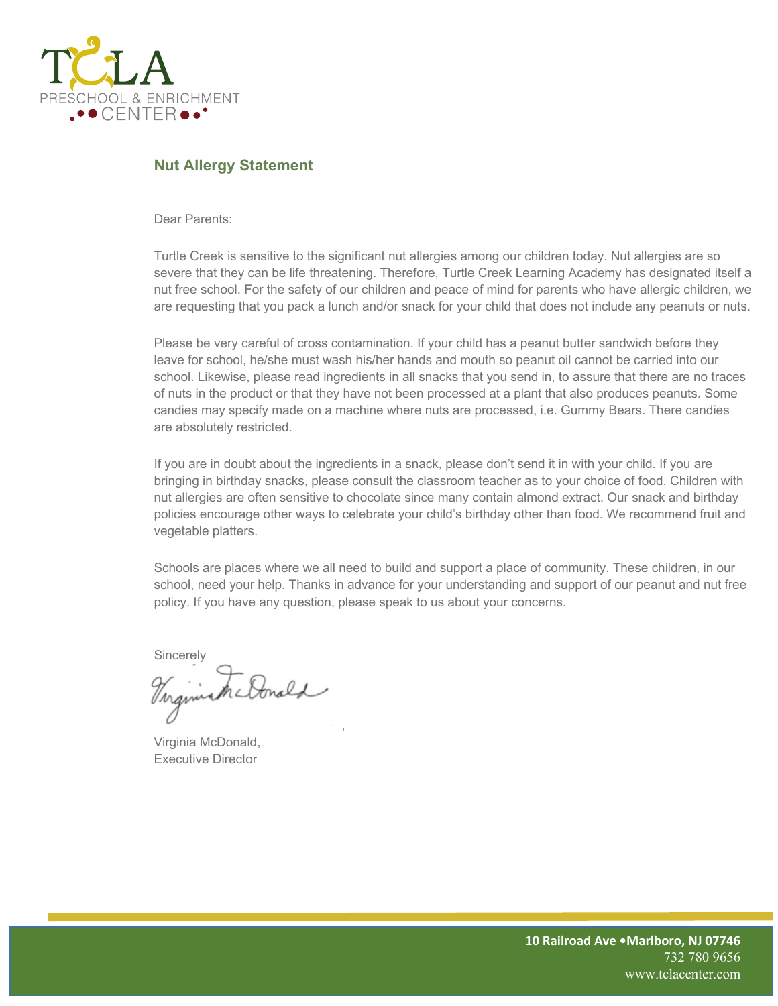

# **Nut Allergy Statement**

Dear Parents:

Turtle Creek is sensitive to the significant nut allergies among our children today. Nut allergies are so severe that they can be life threatening. Therefore, Turtle Creek Learning Academy has designated itself a nut free school. For the safety of our children and peace of mind for parents who have allergic children, we are requesting that you pack a lunch and/or snack for your child that does not include any peanuts or nuts.

Please be very careful of cross contamination. If your child has a peanut butter sandwich before they leave for school, he/she must wash his/her hands and mouth so peanut oil cannot be carried into our school. Likewise, please read ingredients in all snacks that you send in, to assure that there are no traces of nuts in the product or that they have not been processed at a plant that also produces peanuts. Some candies may specify made on a machine where nuts are processed, i.e. Gummy Bears. There candies are absolutely restricted.

If you are in doubt about the ingredients in a snack, please don't send it in with your child. If you are bringing in birthday snacks, please consult the classroom teacher as to your choice of food. Children with nut allergies are often sensitive to chocolate since many contain almond extract. Our snack and birthday policies encourage other ways to celebrate your child's birthday other than food. We recommend fruit and vegetable platters.

Schools are places where we all need to build and support a place of community. These children, in our school, need your help. Thanks in advance for your understanding and support of our peanut and nut free policy. If you have any question, please speak to us about your concerns.

**Sincerely** 

,

Virginia McDonald, Executive Director